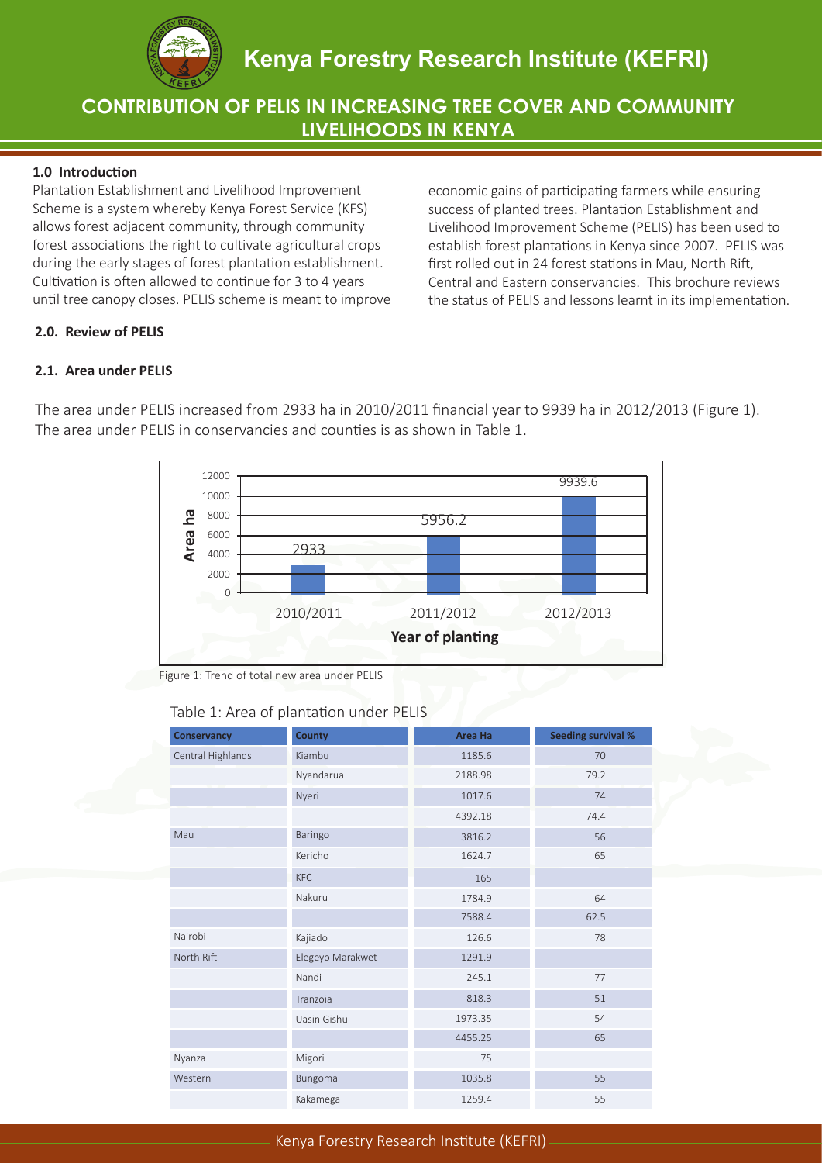

# **CONTRIBUTION OF PELIS IN INCREASING TREE COVER AND COMMUNITY LIVELIHOODS IN KENYA**

## **1.0 Introduction**

Plantation Establishment and Livelihood Improvement Scheme is a system whereby Kenya Forest Service (KFS) allows forest adjacent community, through community forest associations the right to cultivate agricultural crops during the early stages of forest plantation establishment. Cultivation is often allowed to continue for 3 to 4 years until tree canopy closes. PELIS scheme is meant to improve economic gains of participating farmers while ensuring success of planted trees. Plantation Establishment and Livelihood Improvement Scheme (PELIS) has been used to establish forest plantations in Kenya since 2007. PELIS was first rolled out in 24 forest stations in Mau, North Rift, Central and Eastern conservancies. This brochure reviews the status of PELIS and lessons learnt in its implementation.

## **2.0. Review of PELIS**

## **2.1. Area under PELIS**



The area under PELIS increased from 2933 ha in 2010/2011 financial year to 9939 ha in 2012/2013 (Figure 1). The area under PELIS in conservancies and counties is as shown in Table 1.

Figure 1: Trend of total new area under PELIS

## Table 1: Area of plantation under PELIS

| <b>Conservancy</b> | <b>County</b>    | <b>Area Ha</b> | <b>Seeding survival %</b> |
|--------------------|------------------|----------------|---------------------------|
| Central Highlands  | Kiambu           | 1185.6         | 70                        |
|                    | Nyandarua        | 2188.98        | 79.2                      |
|                    | Nyeri            | 1017.6         | 74                        |
|                    |                  | 4392.18        | 74.4                      |
| Mau                | Baringo          | 3816.2         | 56                        |
|                    | Kericho          | 1624.7         | 65                        |
|                    | <b>KFC</b>       | 165            |                           |
|                    | Nakuru           | 1784.9         | 64                        |
|                    |                  | 7588.4         | 62.5                      |
| Nairobi            | Kajiado          | 126.6          | 78                        |
| North Rift         | Elegeyo Marakwet | 1291.9         |                           |
|                    | Nandi            | 245.1          | 77                        |
|                    | Tranzoia         | 818.3          | 51                        |
|                    | Uasin Gishu      | 1973.35        | 54                        |
|                    |                  | 4455.25        | 65                        |
| Nyanza             | Migori           | 75             |                           |
| Western            | Bungoma          | 1035.8         | 55                        |
|                    | Kakamega         | 1259.4         | 55                        |